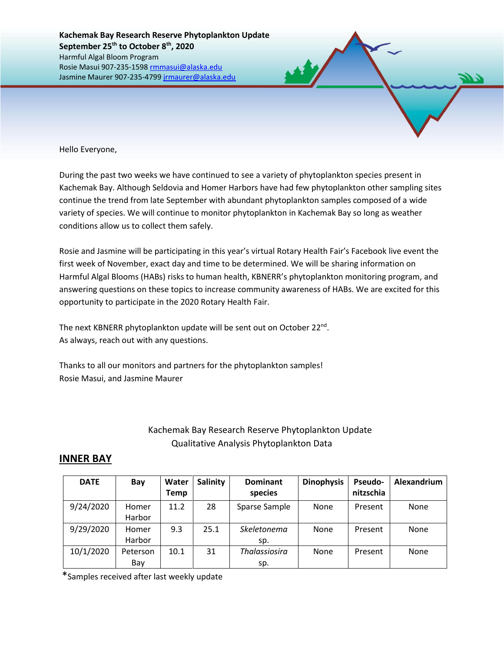Hello Everyone,

During the past two weeks we have continued to see a variety of phytoplankton species present in Kachemak Bay. Although Seldovia and Homer Harbors have had few phytoplankton other sampling sites continue the trend from late September with abundant phytoplankton samples composed of a wide variety of species. We will continue to monitor phytoplankton in Kachemak Bay so long as weather conditions allow us to collect them safely.

Rosie and Jasmine will be participating in this year's virtual Rotary Health Fair's Facebook live event the first week of November, exact day and time to be determined. We will be sharing information on Harmful Algal Blooms (HABs) risks to human health, KBNERR's phytoplankton monitoring program, and answering questions on these topics to increase community awareness of HABs. We are excited for this opportunity to participate in the 2020 Rotary Health Fair.

The next KBNERR phytoplankton update will be sent out on October 22<sup>nd</sup>. As always, reach out with any questions.

Thanks to all our monitors and partners for the phytoplankton samples! Rosie Masui, and Jasmine Maurer

## Kachemak Bay Research Reserve Phytoplankton Update Qualitative Analysis Phytoplankton Data

## **INNER BAY**

| <b>DATE</b> | Bay             | Water<br>Temp | <b>Salinity</b> | <b>Dominant</b><br>species  | <b>Dinophysis</b> | Pseudo-<br>nitzschia | Alexandrium |
|-------------|-----------------|---------------|-----------------|-----------------------------|-------------------|----------------------|-------------|
| 9/24/2020   | Homer<br>Harbor | 11.2          | 28              | Sparse Sample               | None              | Present              | None        |
| 9/29/2020   | Homer<br>Harbor | 9.3           | 25.1            | Skeletonema<br>sp.          | None              | Present              | <b>None</b> |
| 10/1/2020   | Peterson<br>Bay | 10.1          | 31              | <b>Thalassiosira</b><br>sp. | None              | Present              | None        |

\*Samples received after last weekly update